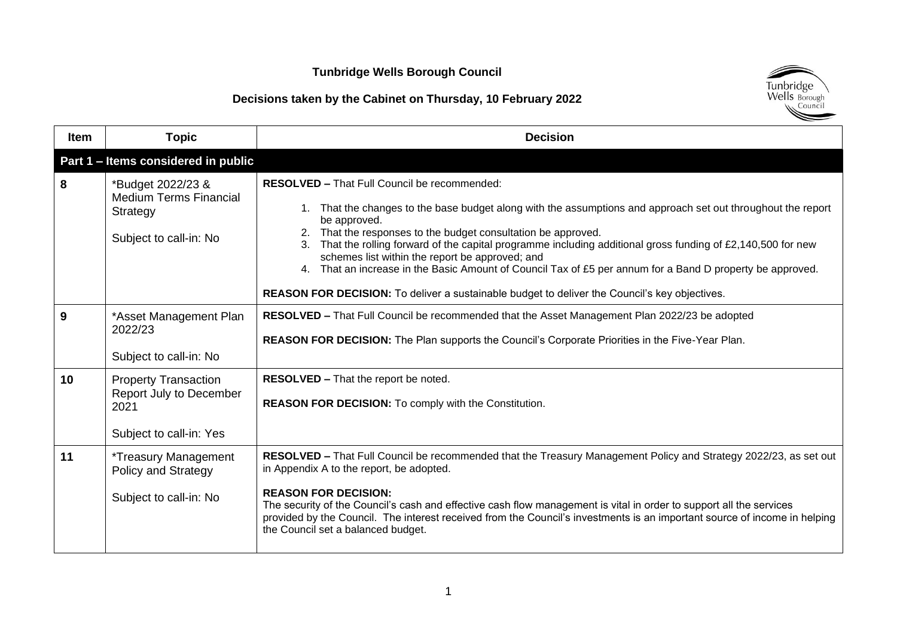### **Tunbridge Wells Borough Council**

## **Decisions taken by the Cabinet on Thursday, 10 February 2022**



| <b>Item</b> | <b>Topic</b>                                                                              | <b>Decision</b>                                                                                                                                                                                                                                                                                                                                                                                                                                                                                                                                                                                                                 |
|-------------|-------------------------------------------------------------------------------------------|---------------------------------------------------------------------------------------------------------------------------------------------------------------------------------------------------------------------------------------------------------------------------------------------------------------------------------------------------------------------------------------------------------------------------------------------------------------------------------------------------------------------------------------------------------------------------------------------------------------------------------|
|             | Part 1 - Items considered in public                                                       |                                                                                                                                                                                                                                                                                                                                                                                                                                                                                                                                                                                                                                 |
| 8           | *Budget 2022/23 &<br><b>Medium Terms Financial</b><br>Strategy<br>Subject to call-in: No  | RESOLVED - That Full Council be recommended:<br>1. That the changes to the base budget along with the assumptions and approach set out throughout the report<br>be approved.<br>2. That the responses to the budget consultation be approved.<br>3. That the rolling forward of the capital programme including additional gross funding of £2,140,500 for new<br>schemes list within the report be approved; and<br>4. That an increase in the Basic Amount of Council Tax of £5 per annum for a Band D property be approved.<br>REASON FOR DECISION: To deliver a sustainable budget to deliver the Council's key objectives. |
| 9           | *Asset Management Plan<br>2022/23<br>Subject to call-in: No                               | RESOLVED - That Full Council be recommended that the Asset Management Plan 2022/23 be adopted<br>REASON FOR DECISION: The Plan supports the Council's Corporate Priorities in the Five-Year Plan.                                                                                                                                                                                                                                                                                                                                                                                                                               |
| 10          | <b>Property Transaction</b><br>Report July to December<br>2021<br>Subject to call-in: Yes | RESOLVED - That the report be noted.<br>REASON FOR DECISION: To comply with the Constitution.                                                                                                                                                                                                                                                                                                                                                                                                                                                                                                                                   |
| 11          | <i>*Treasury Management</i><br>Policy and Strategy<br>Subject to call-in: No              | RESOLVED - That Full Council be recommended that the Treasury Management Policy and Strategy 2022/23, as set out<br>in Appendix A to the report, be adopted.<br><b>REASON FOR DECISION:</b><br>The security of the Council's cash and effective cash flow management is vital in order to support all the services<br>provided by the Council. The interest received from the Council's investments is an important source of income in helping<br>the Council set a balanced budget.                                                                                                                                           |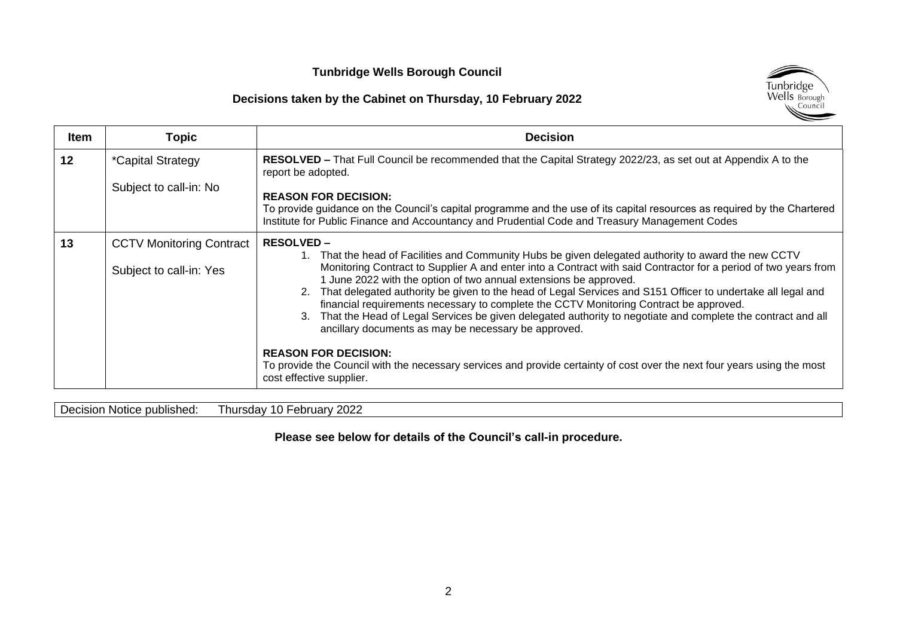#### **Tunbridge Wells Borough Council**

#### **Decisions taken by the Cabinet on Thursday, 10 February 2022**



| <b>Item</b> | <b>Topic</b>                                               | <b>Decision</b>                                                                                                                                                                                                                                                                                                                                                                                                                                                                                                                                                                                                                                                                                                                                                                                                                                                                                |
|-------------|------------------------------------------------------------|------------------------------------------------------------------------------------------------------------------------------------------------------------------------------------------------------------------------------------------------------------------------------------------------------------------------------------------------------------------------------------------------------------------------------------------------------------------------------------------------------------------------------------------------------------------------------------------------------------------------------------------------------------------------------------------------------------------------------------------------------------------------------------------------------------------------------------------------------------------------------------------------|
| 12          | <i>*Capital Strategy</i><br>Subject to call-in: No         | RESOLVED – That Full Council be recommended that the Capital Strategy 2022/23, as set out at Appendix A to the<br>report be adopted.<br><b>REASON FOR DECISION:</b><br>To provide guidance on the Council's capital programme and the use of its capital resources as required by the Chartered<br>Institute for Public Finance and Accountancy and Prudential Code and Treasury Management Codes                                                                                                                                                                                                                                                                                                                                                                                                                                                                                              |
| 13          | <b>CCTV Monitoring Contract</b><br>Subject to call-in: Yes | <b>RESOLVED –</b><br>1. That the head of Facilities and Community Hubs be given delegated authority to award the new CCTV<br>Monitoring Contract to Supplier A and enter into a Contract with said Contractor for a period of two years from<br>1 June 2022 with the option of two annual extensions be approved.<br>2. That delegated authority be given to the head of Legal Services and S151 Officer to undertake all legal and<br>financial requirements necessary to complete the CCTV Monitoring Contract be approved.<br>3. That the Head of Legal Services be given delegated authority to negotiate and complete the contract and all<br>ancillary documents as may be necessary be approved.<br><b>REASON FOR DECISION:</b><br>To provide the Council with the necessary services and provide certainty of cost over the next four years using the most<br>cost effective supplier. |

Decision Notice published: Thursday 10 February 2022

**Please see below for details of the Council's call-in procedure.**